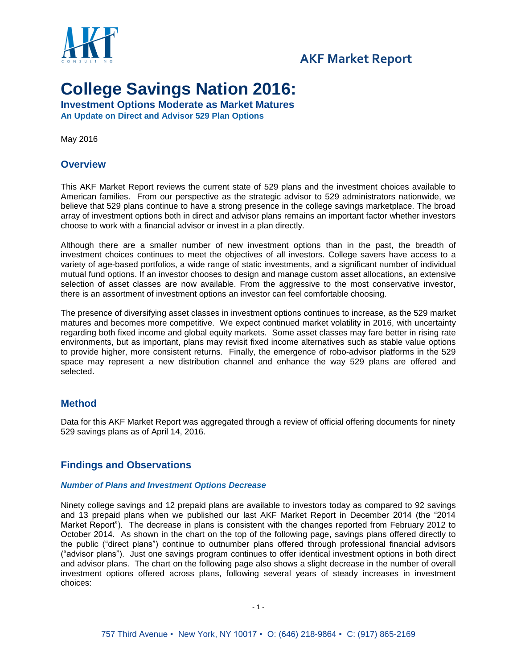

## **AKF Market Report AKF Market Report**

# **College Savings Nation 2016:**

**Investment Options Moderate as Market Matures An Update on Direct and Advisor 529 Plan Options**

May 2016

#### **Overview**

This AKF Market Report reviews the current state of 529 plans and the investment choices available to American families. From our perspective as the strategic advisor to 529 administrators nationwide, we believe that 529 plans continue to have a strong presence in the college savings marketplace. The broad array of investment options both in direct and advisor plans remains an important factor whether investors choose to work with a financial advisor or invest in a plan directly.

Although there are a smaller number of new investment options than in the past, the breadth of investment choices continues to meet the objectives of all investors. College savers have access to a variety of age-based portfolios, a wide range of static investments, and a significant number of individual mutual fund options. If an investor chooses to design and manage custom asset allocations, an extensive selection of asset classes are now available. From the aggressive to the most conservative investor, there is an assortment of investment options an investor can feel comfortable choosing.

The presence of diversifying asset classes in investment options continues to increase, as the 529 market matures and becomes more competitive. We expect continued market volatility in 2016, with uncertainty regarding both fixed income and global equity markets. Some asset classes may fare better in rising rate environments, but as important, plans may revisit fixed income alternatives such as stable value options to provide higher, more consistent returns. Finally, the emergence of robo-advisor platforms in the 529 space may represent a new distribution channel and enhance the way 529 plans are offered and selected.

#### **Method**

Data for this AKF Market Report was aggregated through a review of official offering documents for ninety 529 savings plans as of April 14, 2016.

#### **Findings and Observations**

#### *Number of Plans and Investment Options Decrease*

Ninety college savings and 12 prepaid plans are available to investors today as compared to 92 savings and 13 prepaid plans when we published our last AKF Market Report in December 2014 (the "2014 Market Report"). The decrease in plans is consistent with the changes reported from February 2012 to October 2014. As shown in the chart on the top of the following page, savings plans offered directly to the public ("direct plans") continue to outnumber plans offered through professional financial advisors ("advisor plans"). Just one savings program continues to offer identical investment options in both direct and advisor plans. The chart on the following page also shows a slight decrease in the number of overall investment options offered across plans, following several years of steady increases in investment choices: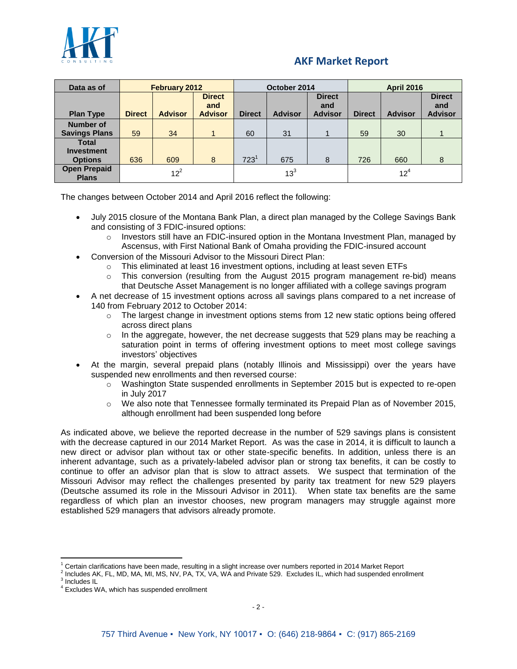

| Data as of                                          | <b>February 2012</b> |                |                                        | October 2014     |                 |                                        | <b>April 2016</b> |                 |                                        |
|-----------------------------------------------------|----------------------|----------------|----------------------------------------|------------------|-----------------|----------------------------------------|-------------------|-----------------|----------------------------------------|
| <b>Plan Type</b>                                    | <b>Direct</b>        | <b>Advisor</b> | <b>Direct</b><br>and<br><b>Advisor</b> | <b>Direct</b>    | <b>Advisor</b>  | <b>Direct</b><br>and<br><b>Advisor</b> | <b>Direct</b>     | <b>Advisor</b>  | <b>Direct</b><br>and<br><b>Advisor</b> |
| <b>Number of</b><br><b>Savings Plans</b>            | 59                   | 34             |                                        | 60               | 31              |                                        | 59                | 30              |                                        |
| <b>Total</b><br><b>Investment</b><br><b>Options</b> | 636                  | 609            | 8                                      | 723 <sup>1</sup> | 675             | 8                                      | 726               | 660             | 8                                      |
| <b>Open Prepaid</b><br><b>Plans</b>                 |                      | $12^2$         |                                        |                  | 13 <sup>3</sup> |                                        |                   | 12 <sup>4</sup> |                                        |

The changes between October 2014 and April 2016 reflect the following:

- July 2015 closure of the Montana Bank Plan, a direct plan managed by the College Savings Bank and consisting of 3 FDIC-insured options:
	- $\circ$  Investors still have an FDIC-insured option in the Montana Investment Plan, managed by Ascensus, with First National Bank of Omaha providing the FDIC-insured account
- Conversion of the Missouri Advisor to the Missouri Direct Plan:
	- $\circ$  This eliminated at least 16 investment options, including at least seven ETFs
	- $\circ$  This conversion (resulting from the August 2015 program management re-bid) means that Deutsche Asset Management is no longer affiliated with a college savings program
- A net decrease of 15 investment options across all savings plans compared to a net increase of 140 from February 2012 to October 2014:
	- o The largest change in investment options stems from 12 new static options being offered across direct plans
	- $\circ$  In the aggregate, however, the net decrease suggests that 529 plans may be reaching a saturation point in terms of offering investment options to meet most college savings investors' objectives
- At the margin, several prepaid plans (notably Illinois and Mississippi) over the years have suspended new enrollments and then reversed course:
	- o Washington State suspended enrollments in September 2015 but is expected to re-open in July 2017
	- o We also note that Tennessee formally terminated its Prepaid Plan as of November 2015, although enrollment had been suspended long before

As indicated above, we believe the reported decrease in the number of 529 savings plans is consistent with the decrease captured in our 2014 Market Report. As was the case in 2014, it is difficult to launch a new direct or advisor plan without tax or other state-specific benefits. In addition, unless there is an inherent advantage, such as a privately-labeled advisor plan or strong tax benefits, it can be costly to continue to offer an advisor plan that is slow to attract assets. We suspect that termination of the Missouri Advisor may reflect the challenges presented by parity tax treatment for new 529 players (Deutsche assumed its role in the Missouri Advisor in 2011). When state tax benefits are the same regardless of which plan an investor chooses, new program managers may struggle against more established 529 managers that advisors already promote.

 $\overline{\phantom{a}}$ 

Certain clarifications have been made, resulting in a slight increase over numbers reported in 2014 Market Report

<sup>2</sup> Includes AK, FL, MD, MA, MI, MS, NV, PA, TX, VA, WA and Private 529. Excludes IL, which had suspended enrollment <sup>3</sup> Includes IL

<sup>4</sup> Excludes WA, which has suspended enrollment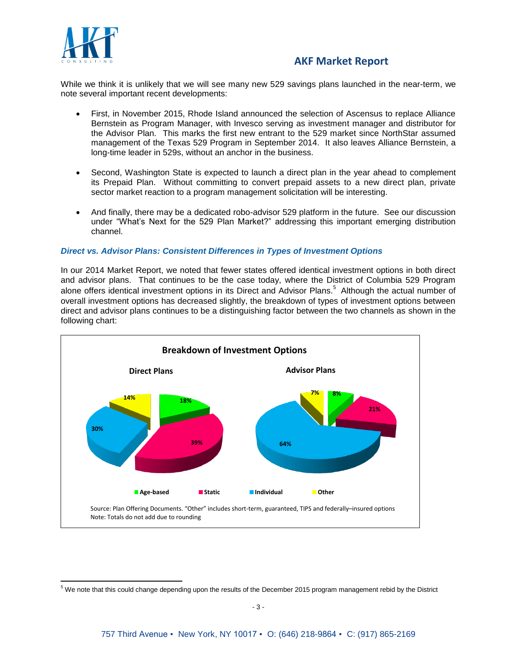

 $\overline{\phantom{a}}$ 

## **AKF Market Report**

While we think it is unlikely that we will see many new 529 savings plans launched in the near-term, we note several important recent developments:

- First, in November 2015, Rhode Island announced the selection of Ascensus to replace Alliance Bernstein as Program Manager, with Invesco serving as investment manager and distributor for the Advisor Plan. This marks the first new entrant to the 529 market since NorthStar assumed management of the Texas 529 Program in September 2014. It also leaves Alliance Bernstein, a long-time leader in 529s, without an anchor in the business.
- Second, Washington State is expected to launch a direct plan in the year ahead to complement its Prepaid Plan. Without committing to convert prepaid assets to a new direct plan, private sector market reaction to a program management solicitation will be interesting.
- And finally, there may be a dedicated robo-advisor 529 platform in the future. See our discussion under "What's Next for the 529 Plan Market?" addressing this important emerging distribution channel.

#### *Direct vs. Advisor Plans: Consistent Differences in Types of Investment Options*

In our 2014 Market Report, we noted that fewer states offered identical investment options in both direct and advisor plans. That continues to be the case today, where the District of Columbia 529 Program alone offers identical investment options in its Direct and Advisor Plans.<sup>5</sup> Although the actual number of overall investment options has decreased slightly, the breakdown of types of investment options between direct and advisor plans continues to be a distinguishing factor between the two channels as shown in the following chart:



<sup>5</sup> We note that this could change depending upon the results of the December 2015 program management rebid by the District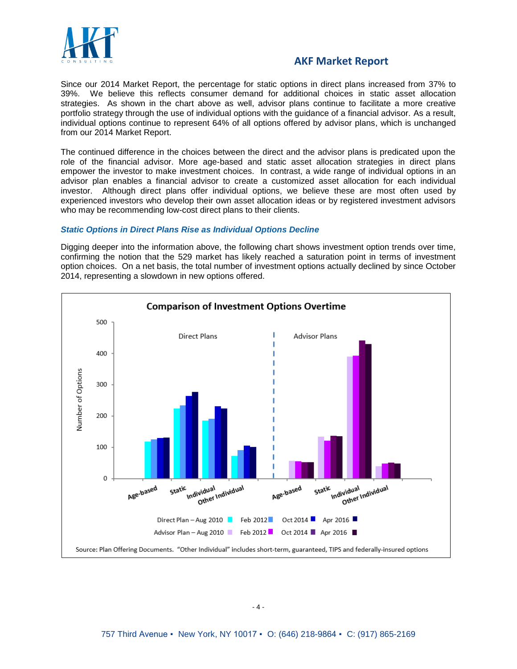

Since our 2014 Market Report, the percentage for static options in direct plans increased from 37% to 39%. We believe this reflects consumer demand for additional choices in static asset allocation strategies. As shown in the chart above as well, advisor plans continue to facilitate a more creative portfolio strategy through the use of individual options with the guidance of a financial advisor. As a result, individual options continue to represent 64% of all options offered by advisor plans, which is unchanged from our 2014 Market Report.

The continued difference in the choices between the direct and the advisor plans is predicated upon the role of the financial advisor. More age-based and static asset allocation strategies in direct plans empower the investor to make investment choices. In contrast, a wide range of individual options in an advisor plan enables a financial advisor to create a customized asset allocation for each individual investor. Although direct plans offer individual options, we believe these are most often used by experienced investors who develop their own asset allocation ideas or by registered investment advisors who may be recommending low-cost direct plans to their clients.

#### *Static Options in Direct Plans Rise as Individual Options Decline*

Digging deeper into the information above, the following chart shows investment option trends over time, confirming the notion that the 529 market has likely reached a saturation point in terms of investment option choices. On a net basis, the total number of investment options actually declined by since October 2014, representing a slowdown in new options offered.

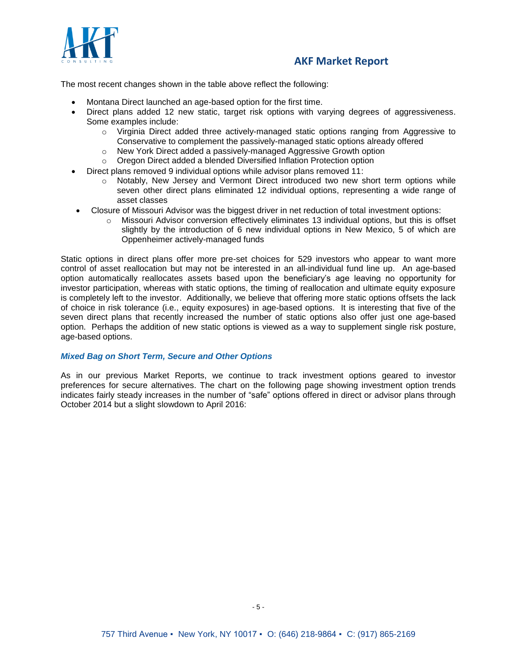

The most recent changes shown in the table above reflect the following:

- Montana Direct launched an age-based option for the first time.
- Direct plans added 12 new static, target risk options with varying degrees of aggressiveness. Some examples include:
	- $\circ$  Virginia Direct added three actively-managed static options ranging from Aggressive to Conservative to complement the passively-managed static options already offered
	- o New York Direct added a passively-managed Aggressive Growth option
	- o Oregon Direct added a blended Diversified Inflation Protection option
- Direct plans removed 9 individual options while advisor plans removed 11:
	- o Notably, New Jersey and Vermont Direct introduced two new short term options while seven other direct plans eliminated 12 individual options, representing a wide range of asset classes
- Closure of Missouri Advisor was the biggest driver in net reduction of total investment options:
	- o Missouri Advisor conversion effectively eliminates 13 individual options, but this is offset slightly by the introduction of 6 new individual options in New Mexico, 5 of which are Oppenheimer actively-managed funds

Static options in direct plans offer more pre-set choices for 529 investors who appear to want more control of asset reallocation but may not be interested in an all-individual fund line up. An age-based option automatically reallocates assets based upon the beneficiary's age leaving no opportunity for investor participation, whereas with static options, the timing of reallocation and ultimate equity exposure is completely left to the investor. Additionally, we believe that offering more static options offsets the lack of choice in risk tolerance (i.e., equity exposures) in age-based options. It is interesting that five of the seven direct plans that recently increased the number of static options also offer just one age-based option. Perhaps the addition of new static options is viewed as a way to supplement single risk posture, age-based options.

#### *Mixed Bag on Short Term, Secure and Other Options*

As in our previous Market Reports, we continue to track investment options geared to investor preferences for secure alternatives. The chart on the following page showing investment option trends indicates fairly steady increases in the number of "safe" options offered in direct or advisor plans through October 2014 but a slight slowdown to April 2016: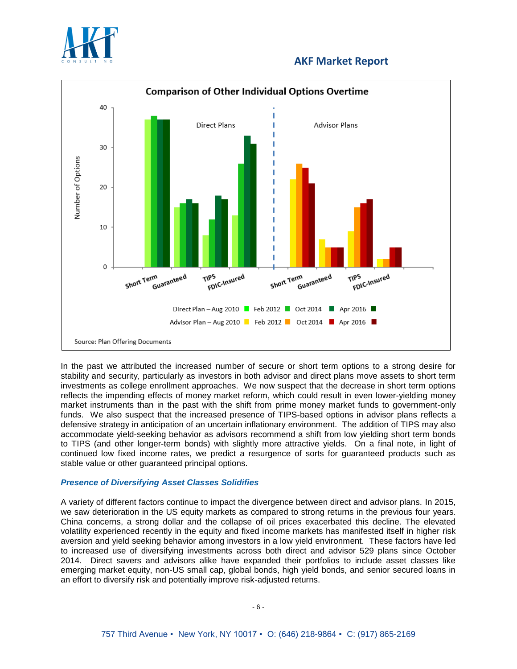



In the past we attributed the increased number of secure or short term options to a strong desire for stability and security, particularly as investors in both advisor and direct plans move assets to short term investments as college enrollment approaches. We now suspect that the decrease in short term options reflects the impending effects of money market reform, which could result in even lower-yielding money market instruments than in the past with the shift from prime money market funds to government-only funds. We also suspect that the increased presence of TIPS-based options in advisor plans reflects a defensive strategy in anticipation of an uncertain inflationary environment. The addition of TIPS may also accommodate yield-seeking behavior as advisors recommend a shift from low yielding short term bonds to TIPS (and other longer-term bonds) with slightly more attractive yields. On a final note, in light of continued low fixed income rates, we predict a resurgence of sorts for guaranteed products such as stable value or other guaranteed principal options.

#### *Presence of Diversifying Asset Classes Solidifies*

A variety of different factors continue to impact the divergence between direct and advisor plans. In 2015, we saw deterioration in the US equity markets as compared to strong returns in the previous four years. China concerns, a strong dollar and the collapse of oil prices exacerbated this decline. The elevated volatility experienced recently in the equity and fixed income markets has manifested itself in higher risk aversion and yield seeking behavior among investors in a low yield environment. These factors have led to increased use of diversifying investments across both direct and advisor 529 plans since October 2014. Direct savers and advisors alike have expanded their portfolios to include asset classes like emerging market equity, non-US small cap, global bonds, high yield bonds, and senior secured loans in an effort to diversify risk and potentially improve risk-adjusted returns.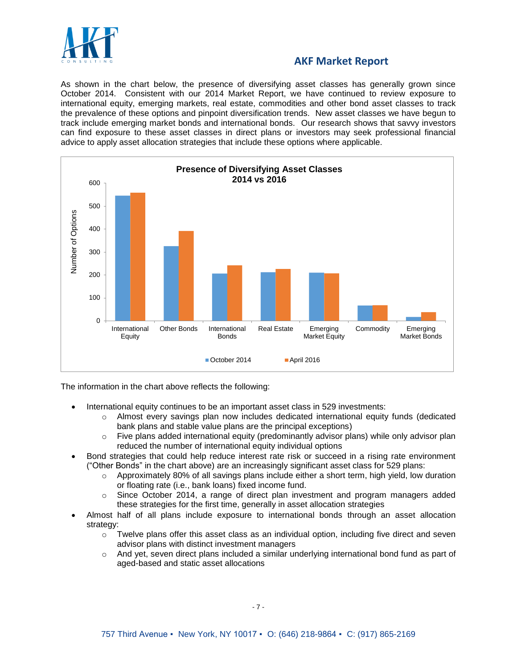

As shown in the chart below, the presence of diversifying asset classes has generally grown since October 2014. Consistent with our 2014 Market Report, we have continued to review exposure to international equity, emerging markets, real estate, commodities and other bond asset classes to track the prevalence of these options and pinpoint diversification trends. New asset classes we have begun to track include emerging market bonds and international bonds. Our research shows that savvy investors can find exposure to these asset classes in direct plans or investors may seek professional financial advice to apply asset allocation strategies that include these options where applicable.



The information in the chart above reflects the following:

- International equity continues to be an important asset class in 529 investments:
	- $\circ$  Almost every savings plan now includes dedicated international equity funds (dedicated bank plans and stable value plans are the principal exceptions)
	- $\circ$  Five plans added international equity (predominantly advisor plans) while only advisor plan reduced the number of international equity individual options
- Bond strategies that could help reduce interest rate risk or succeed in a rising rate environment ("Other Bonds" in the chart above) are an increasingly significant asset class for 529 plans:
	- $\circ$  Approximately 80% of all savings plans include either a short term, high yield, low duration or floating rate (i.e., bank loans) fixed income fund.
	- o Since October 2014, a range of direct plan investment and program managers added these strategies for the first time, generally in asset allocation strategies
- Almost half of all plans include exposure to international bonds through an asset allocation strategy:
	- o Twelve plans offer this asset class as an individual option, including five direct and seven advisor plans with distinct investment managers
	- $\circ$  And yet, seven direct plans included a similar underlying international bond fund as part of aged-based and static asset allocations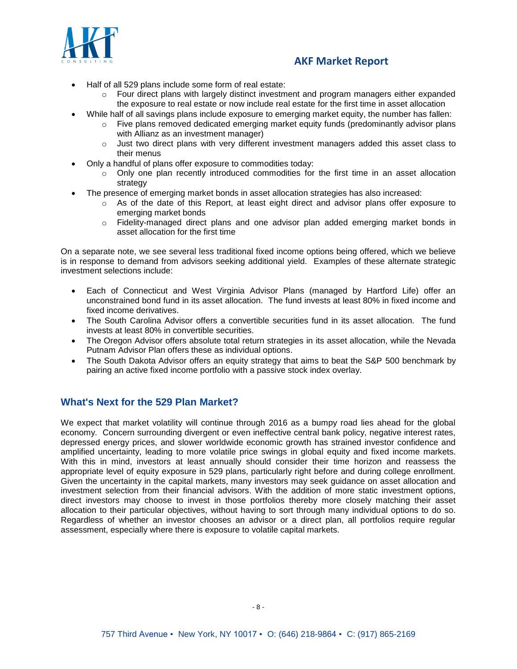

- Half of all 529 plans include some form of real estate:
	- o Four direct plans with largely distinct investment and program managers either expanded the exposure to real estate or now include real estate for the first time in asset allocation
- While half of all savings plans include exposure to emerging market equity, the number has fallen:
	- $\circ$  Five plans removed dedicated emerging market equity funds (predominantly advisor plans with Allianz as an investment manager)
	- $\circ$  Just two direct plans with very different investment managers added this asset class to their menus
	- Only a handful of plans offer exposure to commodities today:
		- $\circ$  Only one plan recently introduced commodities for the first time in an asset allocation strategy
- The presence of emerging market bonds in asset allocation strategies has also increased:
	- $\circ$  As of the date of this Report, at least eight direct and advisor plans offer exposure to emerging market bonds
	- o Fidelity-managed direct plans and one advisor plan added emerging market bonds in asset allocation for the first time

On a separate note, we see several less traditional fixed income options being offered, which we believe is in response to demand from advisors seeking additional yield. Examples of these alternate strategic investment selections include:

- Each of Connecticut and West Virginia Advisor Plans (managed by Hartford Life) offer an unconstrained bond fund in its asset allocation. The fund invests at least 80% in fixed income and fixed income derivatives.
- The South Carolina Advisor offers a convertible securities fund in its asset allocation. The fund invests at least 80% in convertible securities.
- The Oregon Advisor offers absolute total return strategies in its asset allocation, while the Nevada Putnam Advisor Plan offers these as individual options.
- The South Dakota Advisor offers an equity strategy that aims to beat the S&P 500 benchmark by pairing an active fixed income portfolio with a passive stock index overlay.

### **What's Next for the 529 Plan Market?**

We expect that market volatility will continue through 2016 as a bumpy road lies ahead for the global economy. Concern surrounding divergent or even ineffective central bank policy, negative interest rates, depressed energy prices, and slower worldwide economic growth has strained investor confidence and amplified uncertainty, leading to more volatile price swings in global equity and fixed income markets. With this in mind, investors at least annually should consider their time horizon and reassess the appropriate level of equity exposure in 529 plans, particularly right before and during college enrollment. Given the uncertainty in the capital markets, many investors may seek guidance on asset allocation and investment selection from their financial advisors. With the addition of more static investment options, direct investors may choose to invest in those portfolios thereby more closely matching their asset allocation to their particular objectives, without having to sort through many individual options to do so. Regardless of whether an investor chooses an advisor or a direct plan, all portfolios require regular assessment, especially where there is exposure to volatile capital markets.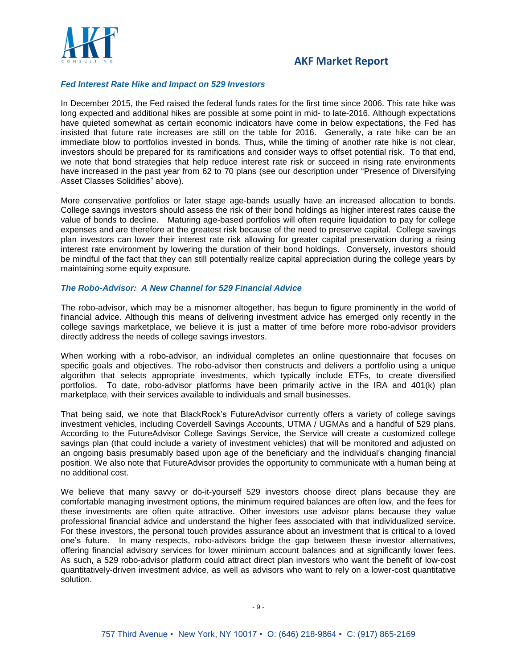

#### *Fed Interest Rate Hike and Impact on 529 Investors*

In December 2015, the Fed raised the federal funds rates for the first time since 2006. This rate hike was long expected and additional hikes are possible at some point in mid- to late-2016. Although expectations have quieted somewhat as certain economic indicators have come in below expectations, the Fed has insisted that future rate increases are still on the table for 2016. Generally, a rate hike can be an immediate blow to portfolios invested in bonds. Thus, while the timing of another rate hike is not clear, investors should be prepared for its ramifications and consider ways to offset potential risk. To that end, we note that bond strategies that help reduce interest rate risk or succeed in rising rate environments have increased in the past year from 62 to 70 plans (see our description under "Presence of Diversifying Asset Classes Solidifies" above).

More conservative portfolios or later stage age-bands usually have an increased allocation to bonds. College savings investors should assess the risk of their bond holdings as higher interest rates cause the value of bonds to decline. Maturing age-based portfolios will often require liquidation to pay for college expenses and are therefore at the greatest risk because of the need to preserve capital. College savings plan investors can lower their interest rate risk allowing for greater capital preservation during a rising interest rate environment by lowering the duration of their bond holdings. Conversely, investors should be mindful of the fact that they can still potentially realize capital appreciation during the college years by maintaining some equity exposure.

#### *The Robo-Advisor: A New Channel for 529 Financial Advice*

The robo-advisor, which may be a misnomer altogether, has begun to figure prominently in the world of financial advice. Although this means of delivering investment advice has emerged only recently in the college savings marketplace, we believe it is just a matter of time before more robo-advisor providers directly address the needs of college savings investors.

When working with a robo-advisor, an individual completes an online questionnaire that focuses on specific goals and objectives. The robo-advisor then constructs and delivers a portfolio using a unique algorithm that selects appropriate investments, which typically include ETFs, to create diversified portfolios. To date, robo-advisor platforms have been primarily active in the IRA and 401(k) plan marketplace, with their services available to individuals and small businesses.

That being said, we note that BlackRock's FutureAdvisor currently offers a variety of college savings investment vehicles, including Coverdell Savings Accounts, UTMA / UGMAs and a handful of 529 plans. According to the FutureAdvisor College Savings Service, the Service will create a customized college savings plan (that could include a variety of investment vehicles) that will be monitored and adjusted on an ongoing basis presumably based upon age of the beneficiary and the individual's changing financial position. We also note that FutureAdvisor provides the opportunity to communicate with a human being at no additional cost.

We believe that many savvy or do-it-yourself 529 investors choose direct plans because they are comfortable managing investment options, the minimum required balances are often low, and the fees for these investments are often quite attractive. Other investors use advisor plans because they value professional financial advice and understand the higher fees associated with that individualized service. For these investors, the personal touch provides assurance about an investment that is critical to a loved one's future. In many respects, robo-advisors bridge the gap between these investor alternatives, offering financial advisory services for lower minimum account balances and at significantly lower fees. As such, a 529 robo-advisor platform could attract direct plan investors who want the benefit of low-cost quantitatively-driven investment advice, as well as advisors who want to rely on a lower-cost quantitative solution.